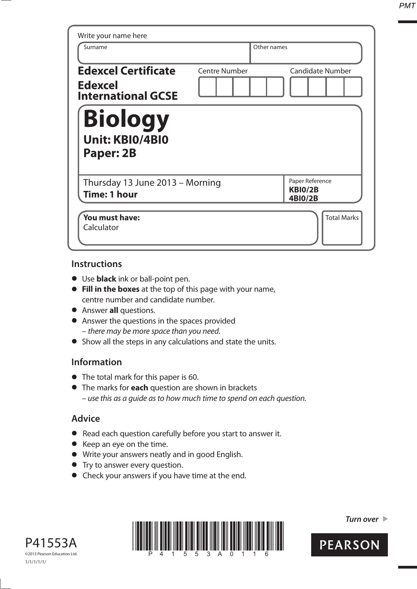| Write your name here                                                      |                      |                                                     |
|---------------------------------------------------------------------------|----------------------|-----------------------------------------------------|
| Surname                                                                   |                      | Other names                                         |
| <b>Edexcel Certificate</b><br><b>Edexcel</b><br><b>International GCSE</b> | <b>Centre Number</b> | <b>Candidate Number</b>                             |
| Biology<br><b>Unit: KBI0/4BI0</b><br>Paper: 2B                            |                      |                                                     |
| Thursday 13 June 2013 - Morning<br>Time: 1 hour                           |                      | Paper Reference<br><b>KBI0/2B</b><br><b>4BI0/2B</b> |
| You must have:<br>Calculator                                              |                      | <b>Total Marks</b>                                  |

### **Instructions**

- **t** Use **black** ink or ball-point pen.
- **Fill in the boxes** at the top of this page with your name, centre number and candidate number.
- **•** Answer **all** questions.
- **•** Answer the questions in the spaces provided – there may be more space than you need.
- **•** Show all the steps in any calculations and state the units.

# **Information**

- **•** The total mark for this paper is 60.
- **t** The marks for **each** question are shown in brackets – use this as a guide as to how much time to spend on each question.

# **Advice**

- **t** Read each question carefully before you start to answer it.
- **•** Keep an eye on the time.
- **t** Write your answers neatly and in good English.
- **•** Try to answer every question.
- **•** Check your answers if you have time at the end.



*Turn over* 

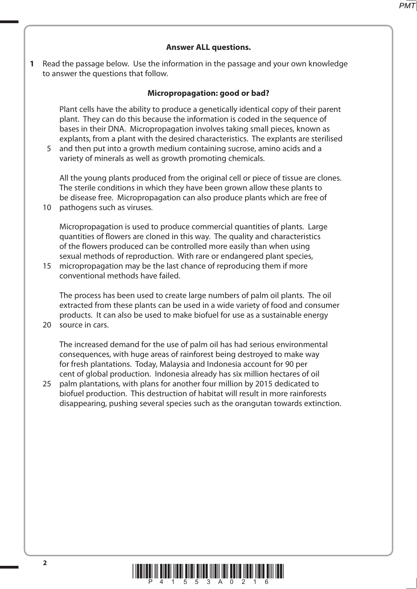### **Answer ALL questions.**

**1** Read the passage below. Use the information in the passage and your own knowledge to answer the questions that follow.

#### **Micropropagation: good or bad?**

Plant cells have the ability to produce a genetically identical copy of their parent plant. They can do this because the information is coded in the sequence of bases in their DNA. Micropropagation involves taking small pieces, known as explants, from a plant with the desired characteristics. The explants are sterilised

 5 and then put into a growth medium containing sucrose, amino acids and a variety of minerals as well as growth promoting chemicals.

All the young plants produced from the original cell or piece of tissue are clones. The sterile conditions in which they have been grown allow these plants to be disease free. Micropropagation can also produce plants which are free of

10 pathogens such as viruses.

Micropropagation is used to produce commercial quantities of plants. Large quantities of flowers are cloned in this way. The quality and characteristics of the flowers produced can be controlled more easily than when using sexual methods of reproduction. With rare or endangered plant species,

15 micropropagation may be the last chance of reproducing them if more conventional methods have failed.

20 source in cars. The process has been used to create large numbers of palm oil plants. The oil extracted from these plants can be used in a wide variety of food and consumer products. It can also be used to make biofuel for use as a sustainable energy

The increased demand for the use of palm oil has had serious environmental consequences, with huge areas of rainforest being destroyed to make way for fresh plantations. Today, Malaysia and Indonesia account for 90 per cent of global production. Indonesia already has six million hectares of oil

25 palm plantations, with plans for another four million by 2015 dedicated to biofuel production. This destruction of habitat will result in more rainforests disappearing, pushing several species such as the orangutan towards extinction.

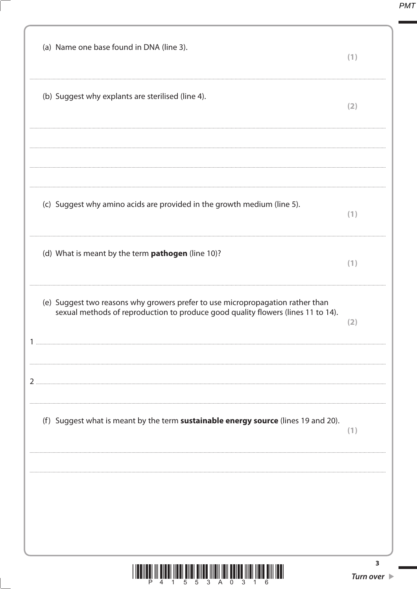| (a) Name one base found in DNA (line 3).                                                                                                                           | (1)                             |
|--------------------------------------------------------------------------------------------------------------------------------------------------------------------|---------------------------------|
| (b) Suggest why explants are sterilised (line 4).                                                                                                                  | (2)                             |
|                                                                                                                                                                    |                                 |
| (c) Suggest why amino acids are provided in the growth medium (line 5).                                                                                            | (1)                             |
| (d) What is meant by the term pathogen (line 10)?                                                                                                                  | (1)                             |
| (e) Suggest two reasons why growers prefer to use micropropagation rather than<br>sexual methods of reproduction to produce good quality flowers (lines 11 to 14). | (2)                             |
| 2<br>(f) Suggest what is meant by the term sustainable energy source (lines 19 and 20).                                                                            | (1)                             |
|                                                                                                                                                                    | 3                               |
| <u>HII DI DI MARAJI IN DI DI MARAJI IN DI MAR</u>                                                                                                                  | Turn over $\blacktriangleright$ |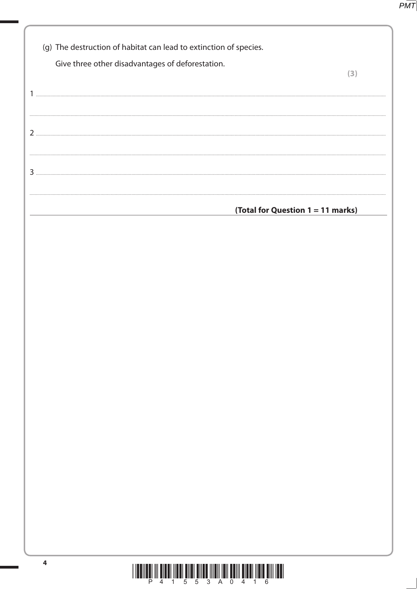| (g) The destruction of habitat can lead to extinction of species.                         |                                   |  |
|-------------------------------------------------------------------------------------------|-----------------------------------|--|
| Give three other disadvantages of deforestation.                                          | (3)                               |  |
|                                                                                           |                                   |  |
|                                                                                           |                                   |  |
| $2$ .                                                                                     |                                   |  |
|                                                                                           |                                   |  |
| 3                                                                                         |                                   |  |
|                                                                                           |                                   |  |
|                                                                                           | (Total for Question 1 = 11 marks) |  |
|                                                                                           |                                   |  |
|                                                                                           |                                   |  |
|                                                                                           |                                   |  |
|                                                                                           |                                   |  |
|                                                                                           |                                   |  |
|                                                                                           |                                   |  |
|                                                                                           |                                   |  |
|                                                                                           |                                   |  |
|                                                                                           |                                   |  |
|                                                                                           |                                   |  |
|                                                                                           |                                   |  |
|                                                                                           |                                   |  |
|                                                                                           |                                   |  |
|                                                                                           |                                   |  |
|                                                                                           |                                   |  |
|                                                                                           |                                   |  |
|                                                                                           |                                   |  |
| 4<br><u> I I BOILEAN III OIDDI IIDDI OINN OIND IIIDDI IOIL DOIN OIDDI IIDNO OIN IODI.</u> |                                   |  |

1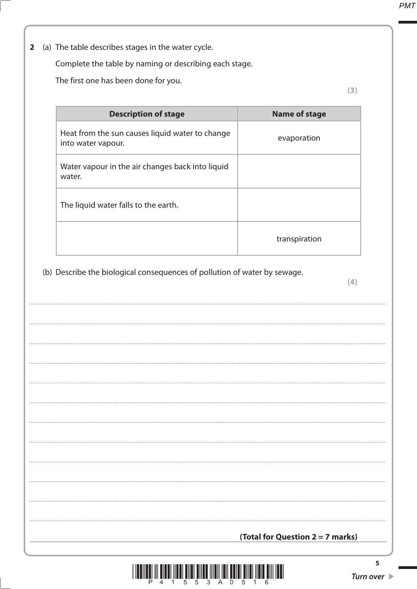2 (a) The table describes stages in the water cycle.

Complete the table by naming or describing each stage.

The first one has been done for you.

 $(3)$ 

| <b>Description of stage</b>                                           | Name of stage |
|-----------------------------------------------------------------------|---------------|
| Heat from the sun causes liquid water to change<br>into water vapour. | evaporation   |
| Water vapour in the air changes back into liquid<br>water.            |               |
| The liquid water falls to the earth.                                  |               |
|                                                                       | transpiration |

(b) Describe the biological consequences of pollution of water by sewage.

(Total for Question 2 = 7 marks)

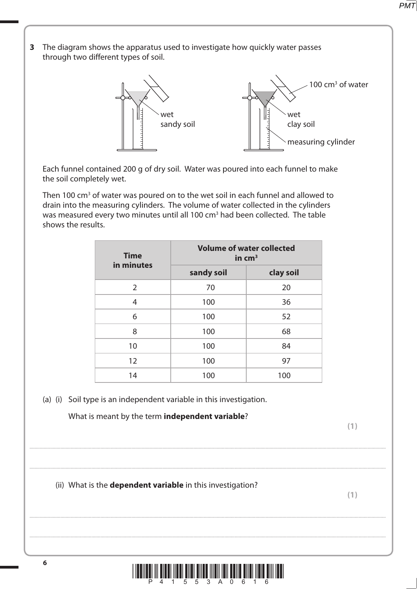**3** The diagram shows the apparatus used to investigate how quickly water passes through two different types of soil.



 Each funnel contained 200 g of dry soil. Water was poured into each funnel to make the soil completely wet.

Then 100 cm<sup>3</sup> of water was poured on to the wet soil in each funnel and allowed to drain into the measuring cylinders. The volume of water collected in the cylinders was measured every two minutes until all 100 cm<sup>3</sup> had been collected. The table shows the results.

| <b>Time</b><br>in minutes | <b>Volume of water collected</b><br>in $cm3$ |           |
|---------------------------|----------------------------------------------|-----------|
|                           | sandy soil                                   | clay soil |
| 2                         | 70                                           | 20        |
| 4                         | 100                                          | 36        |
| 6                         | 100                                          | 52        |
| 8                         | 100                                          | 68        |
| 10                        | 100                                          | 84        |
| 12                        | 100                                          | 97        |
| 14                        | 100                                          | 100       |

(a) (i) Soil type is an independent variable in this investigation.

What is meant by the term **independent variable**?

**(1)**

(ii) What is the **dependent variable** in this investigation?



....................................................................................................................................................................................................................................................................................

....................................................................................................................................................................................................................................................................................

....................................................................................................................................................................................................................................................................................

....................................................................................................................................................................................................................................................................................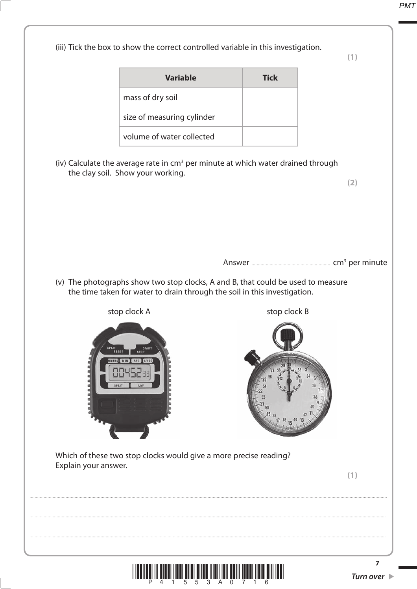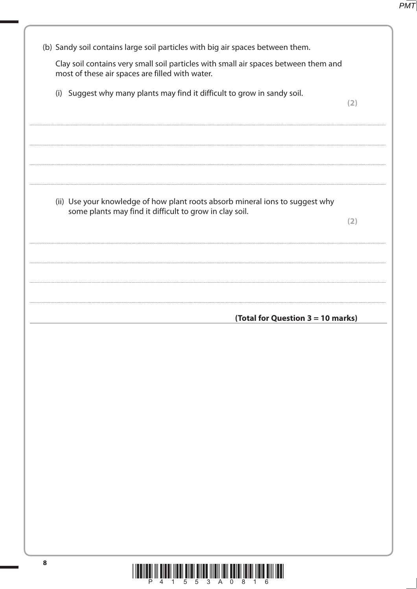| (b) Sandy soil contains large soil particles with big air spaces between them.                                                           |     |
|------------------------------------------------------------------------------------------------------------------------------------------|-----|
| Clay soil contains very small soil particles with small air spaces between them and<br>most of these air spaces are filled with water.   |     |
| (i) Suggest why many plants may find it difficult to grow in sandy soil.                                                                 | (2) |
|                                                                                                                                          |     |
|                                                                                                                                          |     |
| (ii) Use your knowledge of how plant roots absorb mineral ions to suggest why<br>some plants may find it difficult to grow in clay soil. | (2) |
|                                                                                                                                          |     |
|                                                                                                                                          |     |
| (Total for Question 3 = 10 marks)                                                                                                        |     |
|                                                                                                                                          |     |
|                                                                                                                                          |     |
|                                                                                                                                          |     |
|                                                                                                                                          |     |
|                                                                                                                                          |     |
|                                                                                                                                          |     |
|                                                                                                                                          |     |
|                                                                                                                                          |     |
|                                                                                                                                          |     |
| 8<br><u>ו השתון וזות שושון ושושו ושושה וזמן וזמן ון השווה ושווה ושום וששון וששום וזו וששוושם ו ז</u>                                     |     |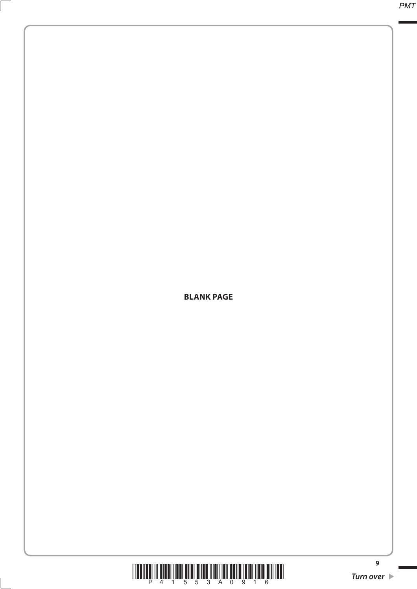**BLANK PAGE**

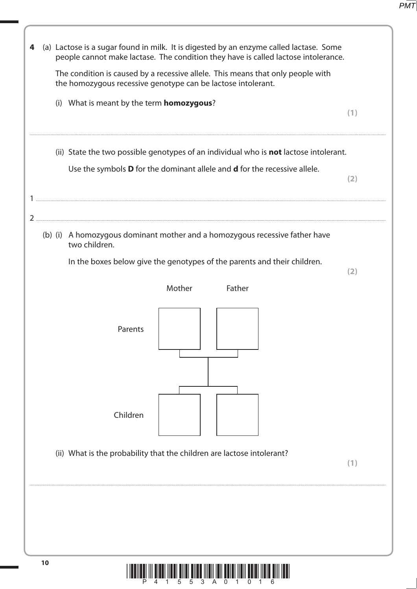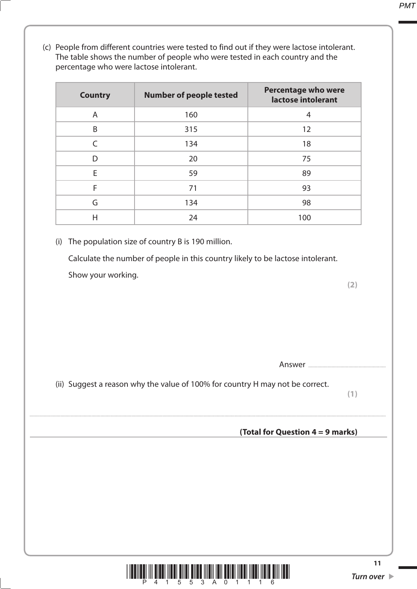(c) People from different countries were tested to find out if they were lactose intolerant. The table shows the number of people who were tested in each country and the percentage who were lactose intolerant.

| <b>Country</b> | <b>Number of people tested</b> | <b>Percentage who were</b><br>lactose intolerant |
|----------------|--------------------------------|--------------------------------------------------|
| A              | 160                            | 4                                                |
| B              | 315                            | 12                                               |
|                | 134                            | 18                                               |
| D              | 20                             | 75                                               |
| E              | 59                             | 89                                               |
| F              | 71                             | 93                                               |
| G              | 134                            | 98                                               |
| H              | 24                             | 100                                              |

(i) The population size of country B is 190 million.

 Calculate the number of people in this country likely to be lactose intolerant. Show your working.

**(2)**

Answer ............................................................

(ii) Suggest a reason why the value of 100% for country H may not be correct.

....................................................................................................................................................................................................................................................................................

**(1)**

# **(Total for Question 4 = 9 marks)**

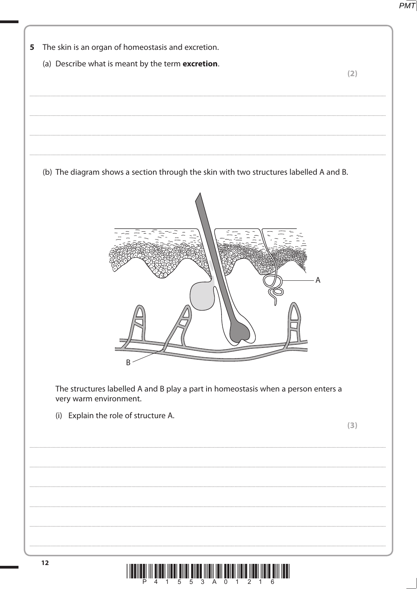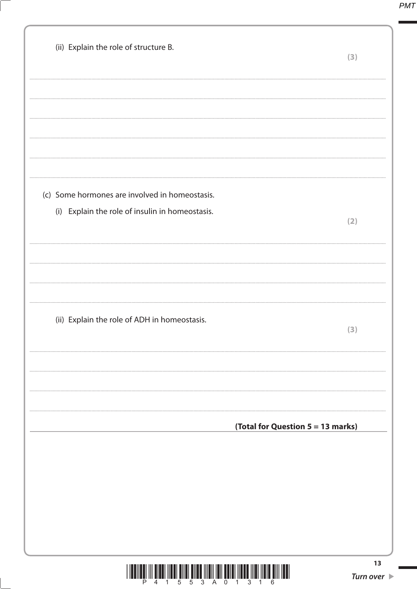| (ii) Explain the role of structure B.           | (3)                                   |
|-------------------------------------------------|---------------------------------------|
|                                                 |                                       |
|                                                 |                                       |
|                                                 |                                       |
| (c) Some hormones are involved in homeostasis.  |                                       |
| (i) Explain the role of insulin in homeostasis. | (2)                                   |
|                                                 |                                       |
|                                                 |                                       |
| (ii) Explain the role of ADH in homeostasis.    | (3)                                   |
|                                                 |                                       |
|                                                 |                                       |
| (Total for Question 5 = 13 marks)               |                                       |
|                                                 |                                       |
|                                                 |                                       |
|                                                 |                                       |
|                                                 |                                       |
| IIIII                                           | 13<br>Turn over $\blacktriangleright$ |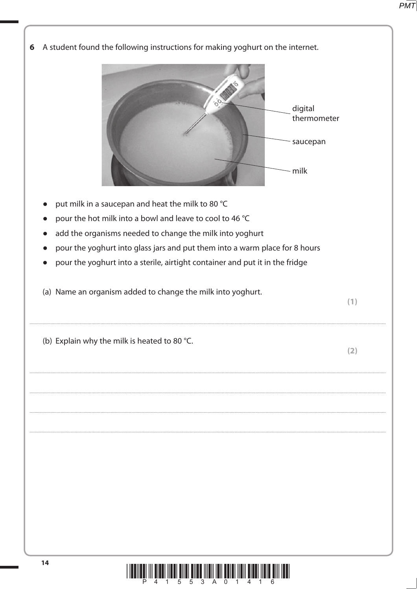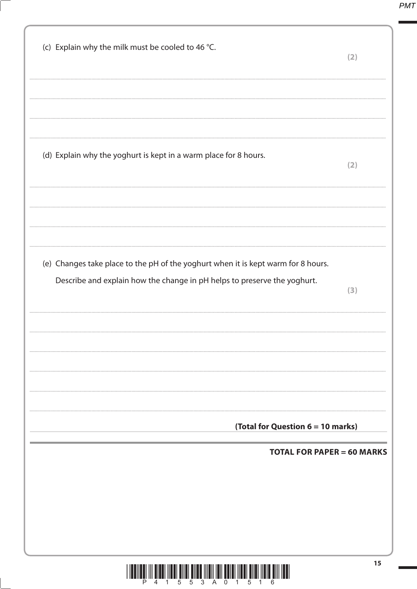| (d) Explain why the yoghurt is kept in a warm place for 8 hours.<br>(e) Changes take place to the pH of the yoghurt when it is kept warm for 8 hours.<br>Describe and explain how the change in pH helps to preserve the yoghurt. | (2) |
|-----------------------------------------------------------------------------------------------------------------------------------------------------------------------------------------------------------------------------------|-----|
|                                                                                                                                                                                                                                   | (2) |
|                                                                                                                                                                                                                                   | (3) |
|                                                                                                                                                                                                                                   |     |
| (Total for Question 6 = 10 marks)<br><b>TOTAL FOR PAPER = 60 MARKS</b>                                                                                                                                                            |     |